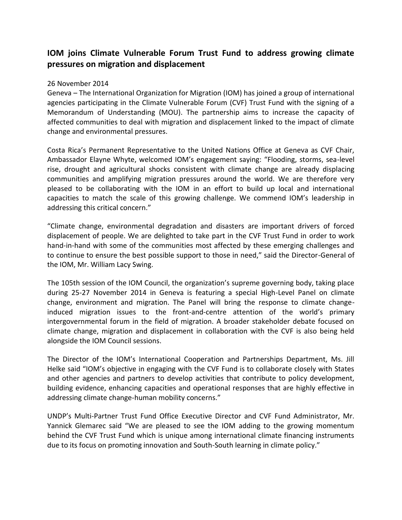## **IOM joins Climate Vulnerable Forum Trust Fund to address growing climate pressures on migration and displacement**

## 26 November 2014

Geneva – The International Organization for Migration (IOM) has joined a group of international agencies participating in the Climate Vulnerable Forum (CVF) Trust Fund with the signing of a Memorandum of Understanding (MOU). The partnership aims to increase the capacity of affected communities to deal with migration and displacement linked to the impact of climate change and environmental pressures.

Costa Rica's Permanent Representative to the United Nations Office at Geneva as CVF Chair, Ambassador Elayne Whyte, welcomed IOM's engagement saying: "Flooding, storms, sea-level rise, drought and agricultural shocks consistent with climate change are already displacing communities and amplifying migration pressures around the world. We are therefore very pleased to be collaborating with the IOM in an effort to build up local and international capacities to match the scale of this growing challenge. We commend IOM's leadership in addressing this critical concern."

"Climate change, environmental degradation and disasters are important drivers of forced displacement of people. We are delighted to take part in the CVF Trust Fund in order to work hand-in-hand with some of the communities most affected by these emerging challenges and to continue to ensure the best possible support to those in need," said the Director-General of the IOM, Mr. William Lacy Swing.

The 105th session of the IOM Council, the organization's supreme governing body, taking place during 25-27 November 2014 in Geneva is featuring a special High-Level Panel on climate change, environment and migration. The Panel will bring the response to climate changeinduced migration issues to the front-and-centre attention of the world's primary intergovernmental forum in the field of migration. A broader stakeholder debate focused on climate change, migration and displacement in collaboration with the CVF is also being held alongside the IOM Council sessions.

The Director of the IOM's International Cooperation and Partnerships Department, Ms. Jill Helke said "IOM's objective in engaging with the CVF Fund is to collaborate closely with States and other agencies and partners to develop activities that contribute to policy development, building evidence, enhancing capacities and operational responses that are highly effective in addressing climate change-human mobility concerns."

UNDP's Multi-Partner Trust Fund Office Executive Director and CVF Fund Administrator, Mr. Yannick Glemarec said "We are pleased to see the IOM adding to the growing momentum behind the CVF Trust Fund which is unique among international climate financing instruments due to its focus on promoting innovation and South-South learning in climate policy."